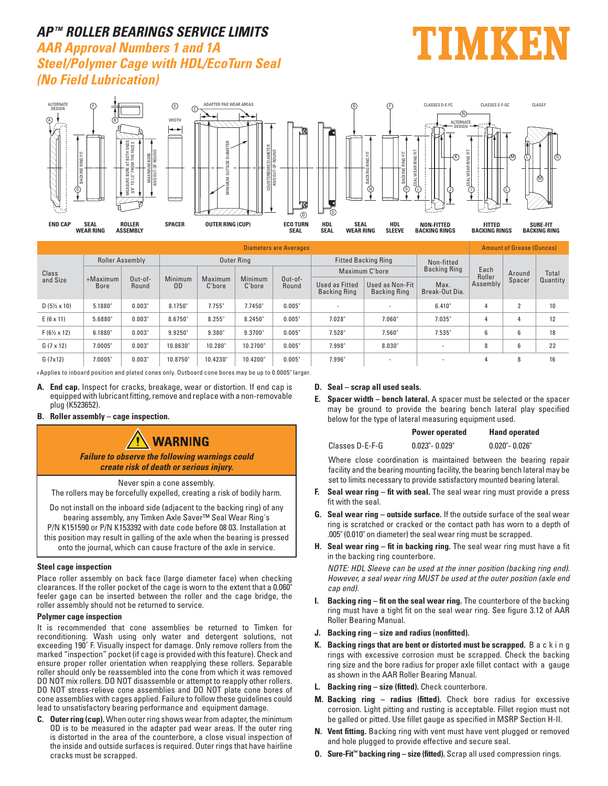## **AP TM ROLLER BEARINGS SERVICE LIMITS**

**AAR Approval Numbers 1 and 1A Steel/Polymer Cage with HDL/EcoTurn Seal (No Field Lubrication)** 





|                             | <b>Amount of Grease (Ounces)</b> |                  |                           |                   |                   |                    |                                       |                                 |                        |                |        |                   |  |
|-----------------------------|----------------------------------|------------------|---------------------------|-------------------|-------------------|--------------------|---------------------------------------|---------------------------------|------------------------|----------------|--------|-------------------|--|
| Class<br>and Size           | <b>Roller Assembly</b>           |                  |                           |                   | Outer Ring        |                    |                                       | <b>Fitted Backing Ring</b>      | Non-fitted             |                |        |                   |  |
|                             |                                  |                  |                           |                   |                   |                    |                                       | Maximum C'hore                  | <b>Backing Ring</b>    | Each<br>Roller | Around | Total<br>Quantity |  |
|                             | $+$ Maximum<br>Bore              | Out-of-<br>Round | Minimum<br>0 <sub>D</sub> | Maximum<br>C'bore | Minimum<br>C'bore | $Out-of-$<br>Round | Used as Fitted<br><b>Backing Ring</b> | Used as Non-Fit<br>Backing Ring | Max.<br>Break-Out Dia. | Assembly       | Spacer |                   |  |
| $D(5\frac{1}{2} \times 10)$ | 5.1880                           | 0.003"           | 8.1750"                   | $7.755$ "         | 7.7450"           | 0.005"             |                                       |                                 | 6.410"                 |                | c      | 10                |  |
| $E(6 \times 11)$            | 5.6880"                          | 0.003"           | 8.6750"                   | 8.255"            | 8.2450            | 0.005"             | 7.028"                                | 7.060"                          | 7.035"                 | 4              |        | 12                |  |
| $F(6\frac{1}{2} \times 12)$ | 6.1880"                          | 0.003"           | 9.9250"                   | 9.380"            | 9.3700            | 0.005"             | 7.528"                                | 7.560"                          | 7.535"                 | 6              | 6      | 18                |  |
| $G(7 \times 12)$            | 7.0005"                          | 0.003"           | 10.8630"                  | 10.280"           | 10.2700"          | 0.005"             | 7.998"                                | 8.030"                          | -                      | 8              | 6      | 22                |  |
| G(7x12)                     | 7.0005"                          | 0.003"           | 10.8750"                  | 10.4230           | 10.4200"          | 0.005"             | 7.996"                                |                                 |                        | 4              | 8      | 16                |  |

+Applies to inboard position and plated cones only. Outboard cone bores may be up to 0.0005" larger.

- **A. End cap.** Inspect for cracks, breakage, wear or distortion. If end cap is equipped with lubricant fitting, remove and replace with a non-removable plug (K523652).
- **B. Roller assembly cage inspection.**

# **WARNING**

**Failure to observe the following warnings could create risk of death or serious injury.**

Never spin a cone assembly.

The rollers may be forcefully expelled, creating a risk of bodily harm.

Do not install on the inboard side (adjacent to the backing ring) of any bearing assembly, any Timken Axle Saver™ Seal Wear Ring's P/N K151590 or P/N K153392 with date code before 08 03. Installation at this position may result in galling of the axle when the bearing is pressed onto the journal, which can cause fracture of the axle in service.

#### **Steel cage inspection**

Place roller assembly on back face (large diameter face) when checking clearances. If the roller pocket of the cage is worn to the extent that a 0.060" feeler gage can be inserted between the roller and the cage bridge, the roller assembly should not be returned to service.

#### **Polymer cage inspection**

It is recommended that cone assemblies be returned to Timken for reconditioning. Wash using only water and detergent solutions, not exceeding 190° F. Visually inspect for damage. Only remove rollers from the marked "inspection" pocket (if cage is provided with this feature). Check and ensure proper roller orientation when reapplying these rollers. Separable roller should only be reassembled into the cone from which it was removed DO NOT mix rollers. DO NOT disassemble or attempt to reapply other rollers. DO NOT stress-relieve cone assemblies and DO NOT plate cone bores of cone assemblies with cages applied. Failure to follow these guidelines could lead to unsatisfactory bearing performance and equipment damage.

**C. Outer ring (cup).** When outer ring shows wear from adapter, the minimum OD is to be measured in the adapter pad wear areas. If the outer ring is distorted in the area of the counterbore, a close visual inspection of the inside and outside surfaces is required. Outer rings that have hairline cracks must be scrapped.

#### **D. Seal – scrap all used seals.**

**E. Spacer width – bench lateral.** A spacer must be selected or the spacer may be ground to provide the bearing bench lateral play specified below for the type of lateral measuring equipment used.

|                 | <b>Power operated</b> | <b>Hand operated</b> |
|-----------------|-----------------------|----------------------|
| Classes D-E-F-G | $0.023" - 0.029"$     | $0.020"$ - $0.026"$  |

 Where close coordination is maintained between the bearing repair facility and the bearing mounting facility, the bearing bench lateral may be set to limits necessary to provide satisfactory mounted bearing lateral.

- **F. Seal wear ring fit with seal.** The seal wear ring must provide a press fit with the seal.
- **G. Seal wear ring outside surface.** If the outside surface of the seal wear ring is scratched or cracked or the contact path has worn to a depth of .005" (0.010" on diameter) the seal wear ring must be scrapped.
- **H. Seal wear ring fit in backing ring.** The seal wear ring must have a fit in the backing ring counterbore.

 *NOTE: HDL Sleeve can be used at the inner position (backing ring end). However, a seal wear ring MUST be used at the outer position (axle end cap end).*

- **I. Backing ring fit on the seal wear ring.** The counterbore of the backing ring must have a tight fit on the seal wear ring. See figure 3.12 of AAR Roller Bearing Manual.
- **J. Backing ring size and radius (nonfitted).**
- **K. Backing rings that are bent or distorted must be scrapped.** B a c k i n g rings with excessive corrosion must be scrapped. Check the backing ring size and the bore radius for proper axle fillet contact with a gauge as shown in the AAR Roller Bearing Manual.
- **L. Backing ring size (fitted).** Check counterbore.
- **M. Backing ring radius (fitted).** Check bore radius for excessive corrosion. Light pitting and rusting is acceptable. Fillet region must not be galled or pitted. Use fillet gauge as specified in MSRP Section H-II.
- **N. Vent fitting.** Backing ring with vent must have vent plugged or removed and hole plugged to provide effective and secure seal.
- **O. Sure-Fit™ backing ring size (fitted).** Scrap all used compression rings.